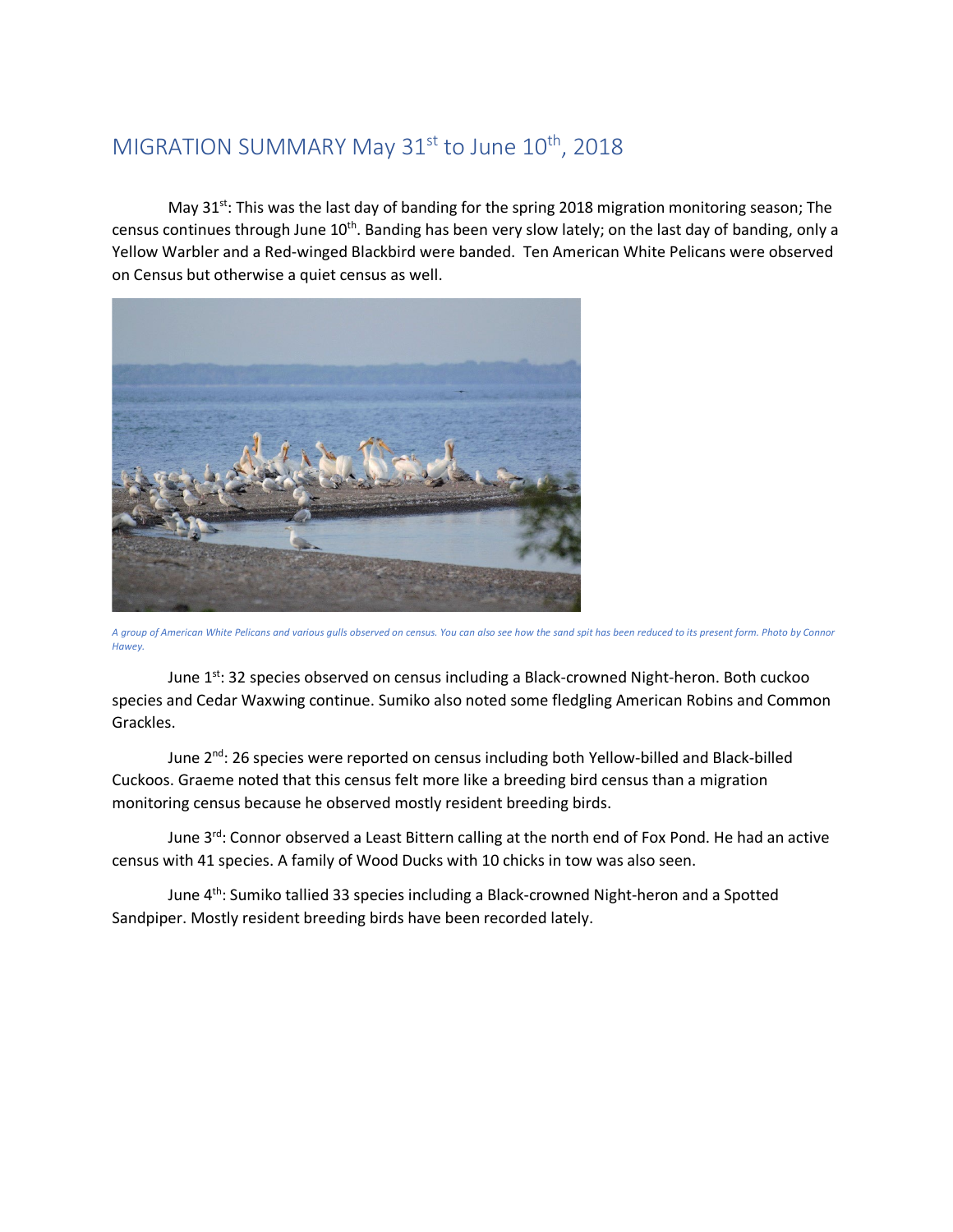## MIGRATION SUMMARY May 31<sup>st</sup> to June 10<sup>th</sup>, 2018

May  $31<sup>st</sup>$ : This was the last day of banding for the spring 2018 migration monitoring season; The census continues through June  $10^{th}$ . Banding has been very slow lately; on the last day of banding, only a Yellow Warbler and a Red-winged Blackbird were banded. Ten American White Pelicans were observed on Census but otherwise a quiet census as well.



*A group of American White Pelicans and various gulls observed on census. You can also see how the sand spit has been reduced to its present form. Photo by Connor Hawey.*

June 1<sup>st</sup>: 32 species observed on census including a Black-crowned Night-heron. Both cuckoo species and Cedar Waxwing continue. Sumiko also noted some fledgling American Robins and Common Grackles.

June 2<sup>nd</sup>: 26 species were reported on census including both Yellow-billed and Black-billed Cuckoos. Graeme noted that this census felt more like a breeding bird census than a migration monitoring census because he observed mostly resident breeding birds.

June 3rd: Connor observed a Least Bittern calling at the north end of Fox Pond. He had an active census with 41 species. A family of Wood Ducks with 10 chicks in tow was also seen.

June 4th: Sumiko tallied 33 species including a Black-crowned Night-heron and a Spotted Sandpiper. Mostly resident breeding birds have been recorded lately.